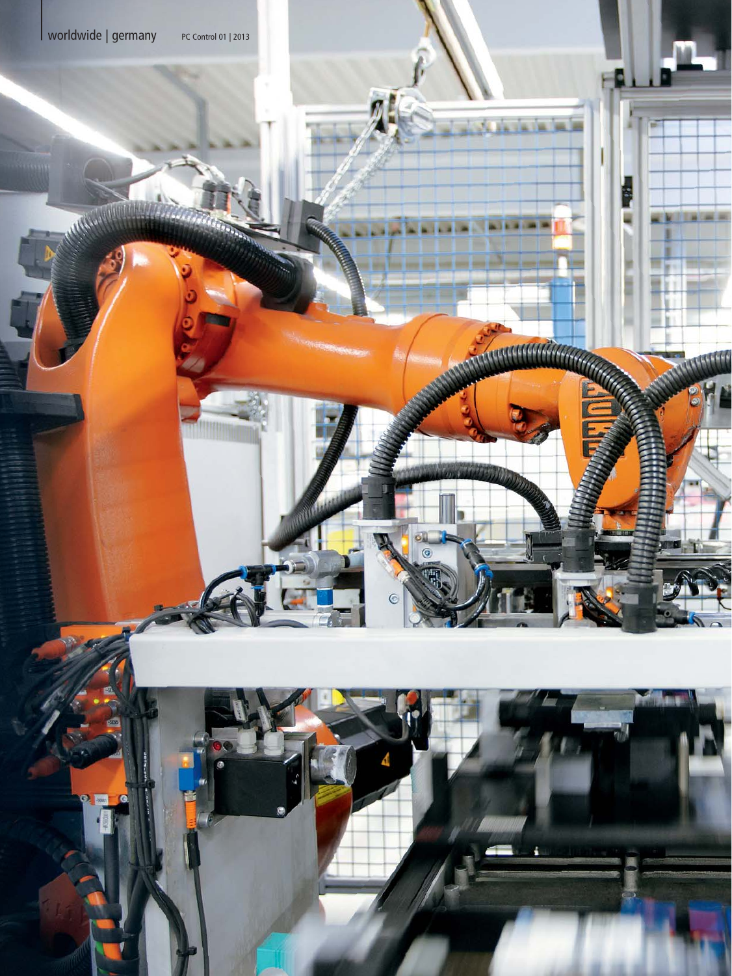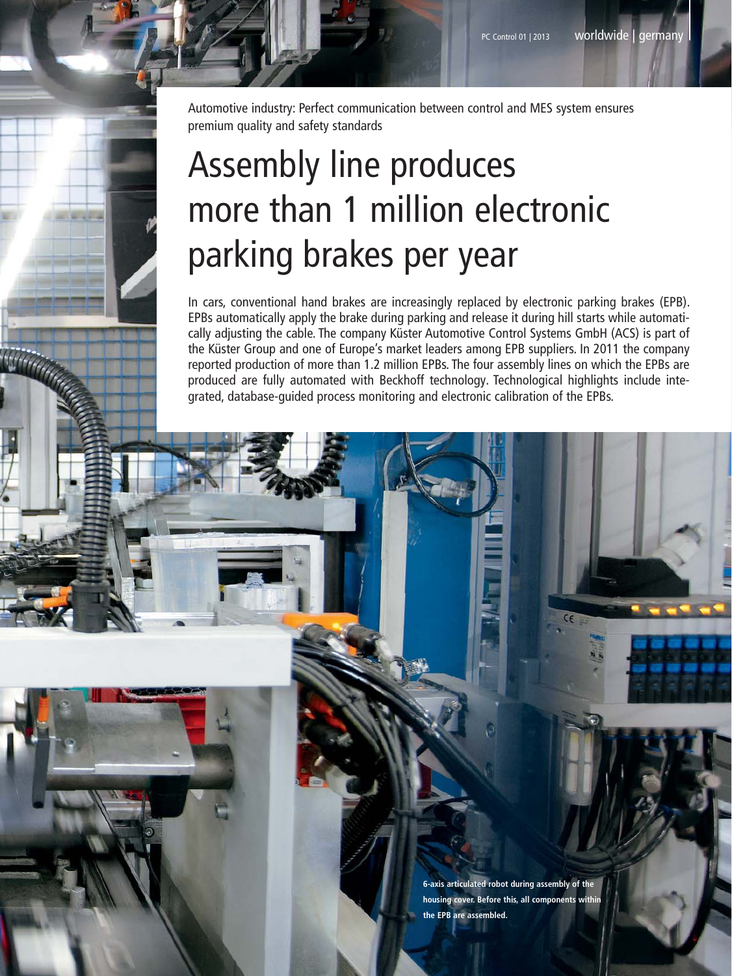Automotive industry: Perfect communication between control and MES system ensures premium quality and safety standards

# Assembly line produces more than 1 million electronic parking brakes per year

In cars, conventional hand brakes are increasingly replaced by electronic parking brakes (EPB). EPBs automatically apply the brake during parking and release it during hill starts while automatically adjusting the cable. The company Küster Automotive Control Systems GmbH (ACS) is part of the Küster Group and one of Europe's market leaders among EPB suppliers. In 2011 the company reported production of more than 1.2 million EPBs. The four assembly lines on which the EPBs are produced are fully automated with Beckhoff technology. Technological highlights include integrated, database-guided process monitoring and electronic calibration of the EPBs.

> **6-axis articulated robot during assembly of the housing cover. Before this, all components within the EPB are assembled.**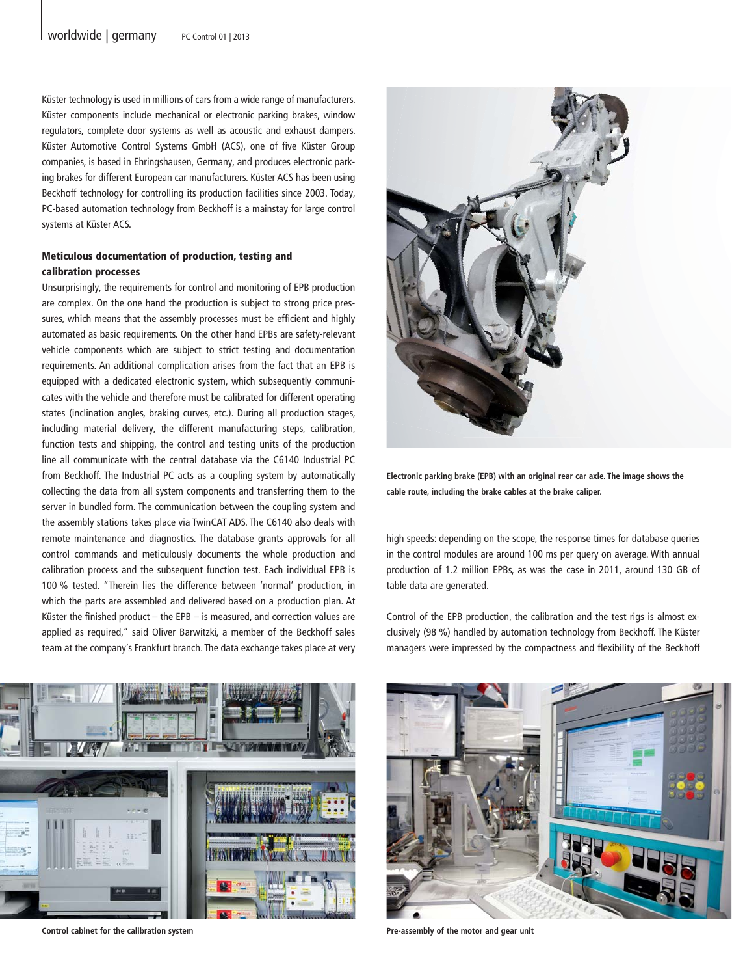Küster technology is used in millions of cars from a wide range of manufacturers. Küster components include mechanical or electronic parking brakes, window regulators, complete door systems as well as acoustic and exhaust dampers. Küster Automotive Control Systems GmbH (ACS), one of five Küster Group companies, is based in Ehringshausen, Germany, and produces electronic parking brakes for different European car manufacturers. Küster ACS has been using Beckhoff technology for controlling its production facilities since 2003. Today, PC-based automation technology from Beckhoff is a mainstay for large control systems at Küster ACS.

## Meticulous documentation of production, testing and calibration processes

Unsurprisingly, the requirements for control and monitoring of EPB production are complex. On the one hand the production is subject to strong price pressures, which means that the assembly processes must be efficient and highly automated as basic requirements. On the other hand EPBs are safety-relevant vehicle components which are subject to strict testing and documentation requirements. An additional complication arises from the fact that an EPB is equipped with a dedicated electronic system, which subsequently communicates with the vehicle and therefore must be calibrated for different operating states (inclination angles, braking curves, etc.). During all production stages, including material delivery, the different manufacturing steps, calibration, function tests and shipping, the control and testing units of the production line all communicate with the central database via the C6140 Industrial PC from Beckhoff. The Industrial PC acts as a coupling system by automatically collecting the data from all system components and transferring them to the server in bundled form. The communication between the coupling system and the assembly stations takes place via TwinCAT ADS. The C6140 also deals with remote maintenance and diagnostics. The database grants approvals for all control commands and meticulously documents the whole production and calibration process and the subsequent function test. Each individual EPB is 100 % tested. "Therein lies the difference between 'normal' production, in which the parts are assembled and delivered based on a production plan. At Küster the finished product – the EPB – is measured, and correction values are applied as required," said Oliver Barwitzki, a member of the Beckhoff sales team at the company's Frankfurt branch. The data exchange takes place at very



**Electronic parking brake (EPB) with an original rear car axle. The image shows the cable route, including the brake cables at the brake caliper.**

high speeds: depending on the scope, the response times for database queries in the control modules are around 100 ms per query on average. With annual production of 1.2 million EPBs, as was the case in 2011, around 130 GB of table data are generated.

Control of the EPB production, the calibration and the test rigs is almost exclusively (98 %) handled by automation technology from Beckhoff. The Küster managers were impressed by the compactness and flexibility of the Beckhoff



**Control cabinet for the calibration system Pre-assembly of the motor and gear unit** 

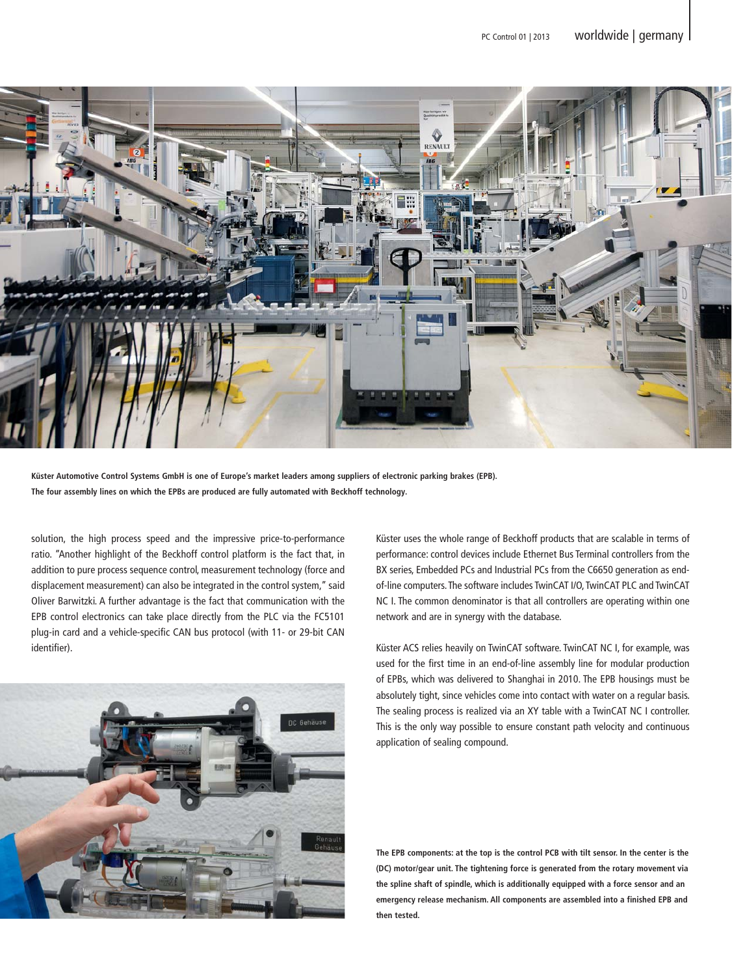

**Küster Automotive Control Systems GmbH is one of Europe's market leaders among suppliers of electronic parking brakes (EPB). The four assembly lines on which the EPBs are produced are fully automated with Beckhoff technology.**

solution, the high process speed and the impressive price-to-performance ratio. "Another highlight of the Beckhoff control platform is the fact that, in addition to pure process sequence control, measurement technology (force and displacement measurement) can also be integrated in the control system," said Oliver Barwitzki. A further advantage is the fact that communication with the EPB control electronics can take place directly from the PLC via the FC5101 plug-in card and a vehicle-specific CAN bus protocol (with 11- or 29-bit CAN identifier).



Küster uses the whole range of Beckhoff products that are scalable in terms of performance: control devices include Ethernet Bus Terminal controllers from the BX series, Embedded PCs and Industrial PCs from the C6650 generation as endof-line computers. The software includes TwinCAT I/O, TwinCAT PLC and TwinCAT NC I. The common denominator is that all controllers are operating within one network and are in synergy with the database.

Küster ACS relies heavily on TwinCAT software. TwinCAT NC I, for example, was used for the first time in an end-of-line assembly line for modular production of EPBs, which was delivered to Shanghai in 2010. The EPB housings must be absolutely tight, since vehicles come into contact with water on a regular basis. The sealing process is realized via an XY table with a TwinCAT NC I controller. This is the only way possible to ensure constant path velocity and continuous application of sealing compound.

**The EPB components: at the top is the control PCB with tilt sensor. In the center is the (DC) motor/gear unit. The tightening force is generated from the rotary movement via the spline shaft of spindle, which is additionally equipped with a force sensor and an emergency release mechanism. All components are assembled into a finished EPB and then tested.**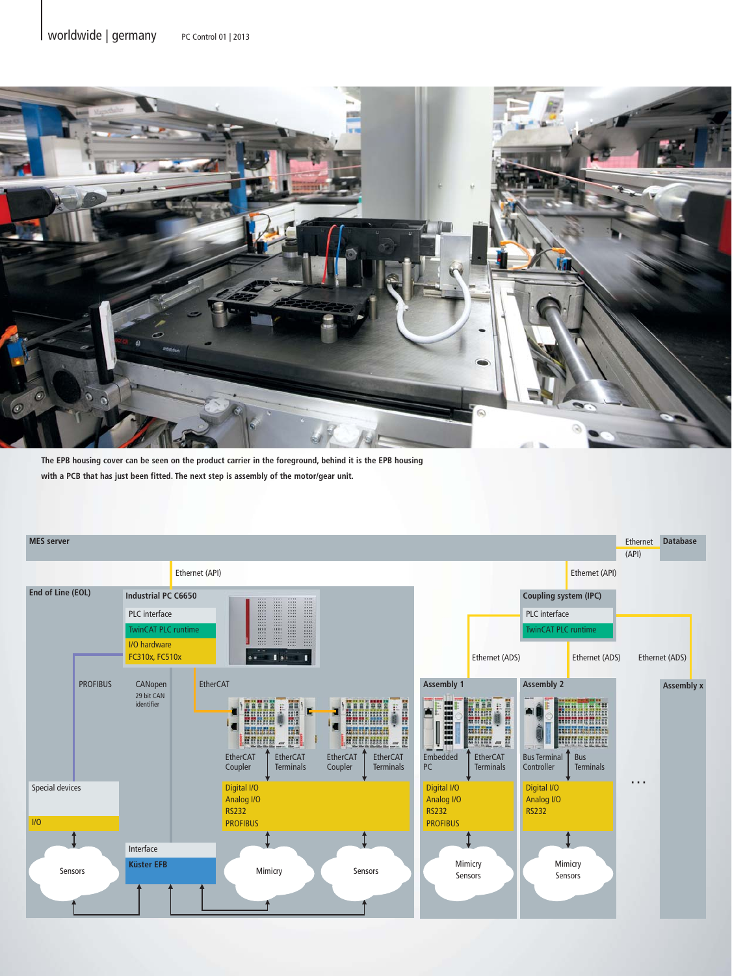

**The EPB housing cover can be seen on the product carrier in the foreground, behind it is the EPB housing with a PCB that has just been fitted. The next step is assembly of the motor/gear unit.**